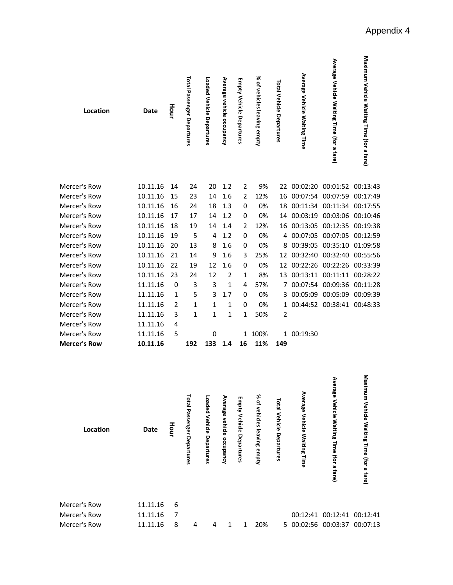| Location            | <b>Date</b> | Hour | <b>Total Passenger Departures</b> | Loaded Vehicle Departures | Average vehicle occupancy | <b>Empty Vehicle Departures</b> | % of vehicles leaving empty | Total Vehicle Departures | Average Vehicle Waiting Time | Average Vehicle Waiting Time (for a fare) | Maximum Vehicle Waiting Time (for a fare) |
|---------------------|-------------|------|-----------------------------------|---------------------------|---------------------------|---------------------------------|-----------------------------|--------------------------|------------------------------|-------------------------------------------|-------------------------------------------|
| Mercer's Row        | 10.11.16    | 14   | 24                                | 20                        | 1.2                       | 2                               | 9%                          | 22                       | 00:02:20                     | 00:01:52                                  | 00:13:43                                  |
| Mercer's Row        | 10.11.16    | 15   | 23                                | 14                        | 1.6                       | 2                               | 12%                         | 16                       | 00:07:54                     | 00:07:59                                  | 00:17:49                                  |
| Mercer's Row        | 10.11.16    | 16   | 24                                | 18                        | 1.3                       | 0                               | 0%                          | 18                       |                              | 00:11:34 00:11:34 00:17:55                |                                           |
| Mercer's Row        | 10.11.16    | 17   | 17                                | 14                        | 1.2                       | 0                               | 0%                          | 14                       | 00:03:19                     | 00:03:06 00:10:46                         |                                           |
| Mercer's Row        | 10.11.16    | 18   | 19                                | 14                        | 1.4                       | 2                               | 12%                         | 16                       |                              | 00:13:05 00:12:35 00:19:38                |                                           |
| Mercer's Row        | 10.11.16    | 19   | 5                                 | 4                         | 1.2                       | 0                               | 0%                          |                          | 4 00:07:05                   | 00:07:05                                  | 00:12:59                                  |
| Mercer's Row        | 10.11.16    | 20   | 13                                | 8                         | 1.6                       | 0                               | 0%                          | 8                        | 00:39:05                     | 00:35:10                                  | 01:09:58                                  |
| Mercer's Row        | 10.11.16    | 21   | 14                                | 9                         | 1.6                       | 3                               | 25%                         | 12                       | 00:32:40                     | 00:32:40                                  | 00:55:56                                  |
| Mercer's Row        | 10.11.16    | 22   | 19                                | 12                        | 1.6                       | 0                               | 0%                          | 12                       | 00:22:26                     | 00:22:26                                  | 00:33:39                                  |
| Mercer's Row        | 10.11.16    | 23   | 24                                | 12                        | 2                         | 1                               | 8%                          | 13                       | 00:13:11                     | 00:11:11                                  | 00:28:22                                  |
| Mercer's Row        | 11.11.16    | 0    | 3                                 | 3                         | 1                         | 4                               | 57%                         | 7                        | 00:07:54                     | 00:09:36                                  | 00:11:28                                  |
| Mercer's Row        | 11.11.16    | 1    | 5                                 | 3                         | 1.7                       | 0                               | 0%                          |                          | 3 00:05:09 00:05:09          |                                           | 00:09:39                                  |
| Mercer's Row        | 11.11.16    | 2    | 1                                 | 1                         | 1                         | 0                               | 0%                          |                          |                              | 1 00:44:52 00:38:41 00:48:33              |                                           |
| Mercer's Row        | 11.11.16    | 3    | 1                                 | $\mathbf{1}$              | 1                         | 1                               | 50%                         | $\overline{2}$           |                              |                                           |                                           |
| Mercer's Row        | 11.11.16    | 4    |                                   |                           |                           |                                 |                             |                          |                              |                                           |                                           |
| Mercer's Row        | 11.11.16    | 5    |                                   | 0                         |                           | 1                               | 100%                        |                          | 1 00:19:30                   |                                           |                                           |
| <b>Mercer's Row</b> | 10.11.16    |      | 192                               | 133                       | 1.4                       | 16                              | 11%                         | 149                      |                              |                                           |                                           |

| Location     | Date     | Hour | Total<br>Passenger<br>Departures | Loaded<br>Vehicle<br>Departures | Average<br>vehicle<br>occupancy | Empty<br>Vehicle<br>Departures | % of<br>vehicles<br>leaving<br>enpty | <b>Total</b><br>Vehicle<br>Departures | Average<br>Vehicle<br><b>Waiting Time</b> | Average<br>Vehicle<br>Waiting Time (for a fare) | Maximu<br>Vehicle<br>Waiting Time (for a fare) |  |
|--------------|----------|------|----------------------------------|---------------------------------|---------------------------------|--------------------------------|--------------------------------------|---------------------------------------|-------------------------------------------|-------------------------------------------------|------------------------------------------------|--|
| Mercer's Row | 11.11.16 | 6    |                                  |                                 |                                 |                                |                                      |                                       |                                           |                                                 |                                                |  |
| Mercer's Row | 11.11.16 | 7    |                                  |                                 |                                 |                                |                                      |                                       | 00:12:41                                  | 00:12:41 00:12:41                               |                                                |  |
| Mercer's Row | 11.11.16 | 8    | 4                                | 4                               | 1                               | 1                              | 20%                                  |                                       |                                           | 5 00:02:56 00:03:37 00:07:13                    |                                                |  |
|              |          |      |                                  |                                 |                                 |                                |                                      |                                       |                                           |                                                 |                                                |  |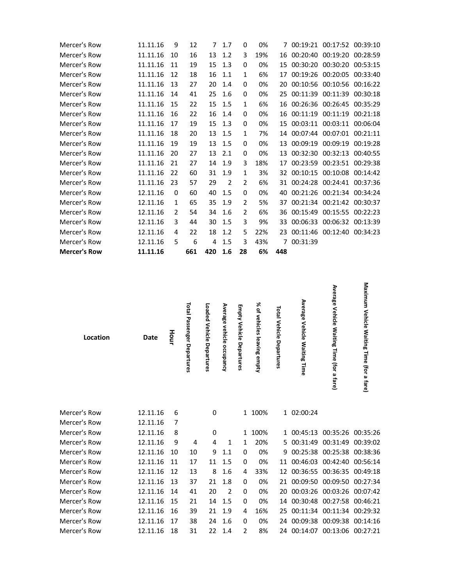| Mercer's Row        | 11.11.16 | 9             | 12  | 7   | 1.7            | 0              | 0%  |     |            | 7 00:19:21 00:17:52 00:39:10 |          |
|---------------------|----------|---------------|-----|-----|----------------|----------------|-----|-----|------------|------------------------------|----------|
| Mercer's Row        | 11.11.16 | 10            | 16  | 13  | 1.2            | 3              | 19% | 16  | 00:20:40   | 00:19:20                     | 00:28:59 |
| Mercer's Row        | 11.11.16 | 11            | 19  | 15  | 1.3            | 0              | 0%  | 15  |            | 00:30:20 00:30:20            | 00:53:15 |
| Mercer's Row        | 11.11.16 | 12            | 18  | 16  | 1.1            | 1              | 6%  | 17  |            | 00:19:26 00:20:05            | 00:33:40 |
| Mercer's Row        | 11.11.16 | 13            | 27  | 20  | 1.4            | 0              | 0%  | 20  |            | 00:10:56 00:10:56            | 00:16:22 |
| Mercer's Row        | 11.11.16 | 14            | 41  | 25  | 1.6            | 0              | 0%  | 25  | 00:11:39   | 00:11:39                     | 00:30:18 |
| Mercer's Row        | 11.11.16 | 15            | 22  | 15  | 1.5            | 1              | 6%  | 16  |            | 00:26:36 00:26:45            | 00:35:29 |
| Mercer's Row        | 11.11.16 | 16            | 22  | 16  | 1.4            | 0              | 0%  | 16  | 00:11:19   | 00:11:19                     | 00:21:18 |
| Mercer's Row        | 11.11.16 | 17            | 19  | 15  | 1.3            | 0              | 0%  | 15  | 00:03:11   | 00:03:11                     | 00:06:04 |
| Mercer's Row        | 11.11.16 | 18            | 20  | 13  | 1.5            | 1              | 7%  | 14  |            | 00:07:44 00:07:01            | 00:21:11 |
| Mercer's Row        | 11.11.16 | 19            | 19  | 13  | 1.5            | 0              | 0%  | 13  | 00:09:19   | 00:09:19                     | 00:19:28 |
| Mercer's Row        | 11.11.16 | 20            | 27  | 13  | 2.1            | $\Omega$       | 0%  | 13  | 00:32:30   | 00:32:13                     | 00:40:55 |
| Mercer's Row        | 11.11.16 | 21            | 27  | 14  | 1.9            | 3              | 18% | 17  | 00:23:59   | 00:23:51                     | 00:29:38 |
| Mercer's Row        | 11.11.16 | 22            | 60  | 31  | 1.9            | 1              | 3%  | 32  | 00:10:15   | 00:10:08                     | 00:14:42 |
| Mercer's Row        | 11.11.16 | 23            | 57  | 29  | $\overline{2}$ | $\overline{2}$ | 6%  | 31  |            | 00:24:28 00:24:41            | 00:37:36 |
| Mercer's Row        | 12.11.16 | 0             | 60  | 40  | 1.5            | 0              | 0%  | 40  |            | 00:21:26 00:21:34            | 00:34:24 |
| Mercer's Row        | 12.11.16 | 1             | 65  | 35  | 1.9            | $\mathcal{P}$  | 5%  | 37  |            | 00:21:34 00:21:42            | 00:30:37 |
| Mercer's Row        | 12.11.16 | $\mathcal{P}$ | 54  | 34  | 1.6            | $\mathcal{P}$  | 6%  | 36  | 00:15:49   | 00:15:55                     | 00:22:23 |
| Mercer's Row        | 12.11.16 | 3             | 44  | 30  | 1.5            | 3              | 9%  | 33  | 00:06:33   | 00:06:32                     | 00:13:39 |
| Mercer's Row        | 12.11.16 | 4             | 22  | 18  | 1.2            | 5              | 22% | 23  |            | 00:11:46 00:12:40            | 00:34:23 |
| Mercer's Row        | 12.11.16 | 5             | 6   | 4   | 1.5            | 3              | 43% |     | 7 00:31:39 |                              |          |
| <b>Mercer's Row</b> | 11.11.16 |               | 661 | 420 | 1.6            | 28             | 6%  | 448 |            |                              |          |

| Location     | Date     | Hour | Total<br>Passenger Departures | Loaded Vehicle<br>Departures | Average<br>vehicle<br>occupancy | Empty Vehicle<br>Departures | ৯ৎ<br>٩<br>vehicles leaving<br>ampty | Total Vehicle<br>Departures | Average Vehicle Waiting Time | Average Vehicle Waiting Time (for a fare) | Maximum Vehicle Waiting Time (for a fare) |
|--------------|----------|------|-------------------------------|------------------------------|---------------------------------|-----------------------------|--------------------------------------|-----------------------------|------------------------------|-------------------------------------------|-------------------------------------------|
| Mercer's Row | 12.11.16 | 6    |                               | 0                            |                                 |                             | 1 100%                               |                             | 1 02:00:24                   |                                           |                                           |
| Mercer's Row | 12.11.16 | 7    |                               |                              |                                 |                             |                                      |                             |                              |                                           |                                           |
| Mercer's Row | 12.11.16 | 8    |                               | $\mathbf 0$                  |                                 | 1                           | 100%                                 |                             | 1 00:45:13                   | 00:35:26                                  | 00:35:26                                  |
| Mercer's Row | 12.11.16 | 9    | 4                             | 4                            | 1                               | 1                           | 20%                                  |                             | 5 00:31:49                   | 00:31:49                                  | 00:39:02                                  |
| Mercer's Row | 12.11.16 | 10   | 10                            | 9                            | 1.1                             | 0                           | 0%                                   | 9                           | 00:25:38                     | 00:25:38                                  | 00:38:36                                  |
| Mercer's Row | 12.11.16 | 11   | 17                            | 11                           | 1.5                             | $\mathbf 0$                 | 0%                                   | 11                          | 00:46:03                     | 00:42:40                                  | 00:56:14                                  |
| Mercer's Row | 12.11.16 | 12   | 13                            | 8                            | 1.6                             | 4                           | 33%                                  | 12                          | 00:36:55                     | 00:36:35                                  | 00:49:18                                  |
| Mercer's Row | 12.11.16 | 13   | 37                            | 21                           | 1.8                             | 0                           | 0%                                   | 21                          | 00:09:50                     | 00:09:50                                  | 00:27:34                                  |
| Mercer's Row | 12.11.16 | 14   | 41                            | 20                           | 2                               | 0                           | 0%                                   | 20                          | 00:03:26                     | 00:03:26 00:07:42                         |                                           |

Mercer's Row 12.11.16 15 21 14 1.5 0 0% 14 00:30:48 00:27:58 00:46:21 Mercer's Row 12.11.16 16 39 21 1.9 4 16% 25 00:11:34 00:11:34 00:29:32 Mercer's Row 12.11.16 17 38 24 1.6 0 0% 24 00:09:38 00:09:38 00:14:16 Mercer's Row 12.11.16 18 31 22 1.4 2 8% 24 00:14:07 00:13:06 00:27:21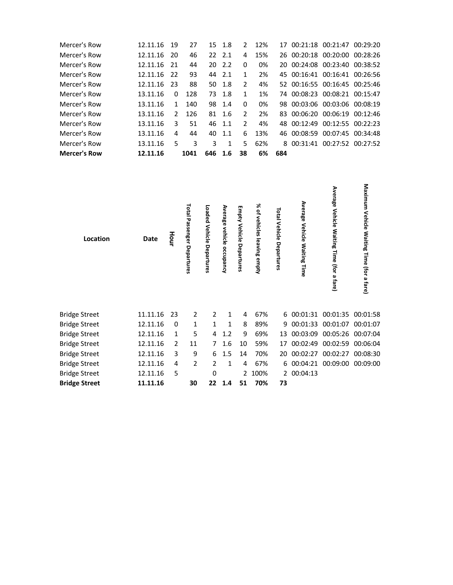| Mercer's Row        | 12.11.16 | 19            | 27   |     | 15 1.8  | $\mathcal{P}$ | 12% |     | 17 00:21:18 00:21:47 00:29:20 |          |
|---------------------|----------|---------------|------|-----|---------|---------------|-----|-----|-------------------------------|----------|
| Mercer's Row        | 12.11.16 | 20            | 46   |     | 22, 2.1 | 4             | 15% |     | 26 00:20:18 00:20:00 00:28:26 |          |
| Mercer's Row        | 12.11.16 | - 21          | 44   |     | 20, 2.2 | $\Omega$      | 0%  |     | 20 00:24:08 00:23:40 00:38:52 |          |
| Mercer's Row        | 12.11.16 | 22            | 93   | 44  | 2.1     | 1             | 2%  |     | 45 00:16:41 00:16:41          | 00:26:56 |
| Mercer's Row        | 12.11.16 | -23           | 88   |     | 50 1.8  | $\mathcal{P}$ | 4%  |     | 52 00:16:55 00:16:45 00:25:46 |          |
| Mercer's Row        | 13.11.16 | 0             | 128  |     | 73 1.8  | 1             | 1%  |     | 74 00:08:23 00:08:21 00:15:47 |          |
| Mercer's Row        | 13.11.16 | 1             | 140  |     | 98 1.4  | $\Omega$      | 0%  |     | 98 00:03:06 00:03:06 00:08:19 |          |
| Mercer's Row        | 13.11.16 | $\mathcal{P}$ | 126  |     | 81 1.6  | $\mathcal{P}$ | 2%  |     | 83 00:06:20 00:06:19 00:12:46 |          |
| Mercer's Row        | 13.11.16 | 3             | 51   |     | 46 1.1  | $\mathcal{P}$ | 4%  |     | 48 00:12:49 00:12:55 00:22:23 |          |
| Mercer's Row        | 13.11.16 | 4             | 44   | 40  | 1.1     | 6             | 13% |     | 46 00:08:59 00:07:45 00:34:48 |          |
| Mercer's Row        | 13.11.16 | 5.            | 3    | 3   | 1       | 5             | 62% | 8   | 00:31:41 00:27:52 00:27:52    |          |
| <b>Mercer's Row</b> | 12.11.16 |               | 1041 | 646 | - 1.6   | 38            | 6%  | 684 |                               |          |

| Location             | Date     | Hour           | Total Passenger Departures | Loaded Vehicle<br>Departures | Average vehicle occupancy | Empty Vehicle<br>Departures | % of<br>vehicles leaving empty | <b>Total Vehicle</b><br>Departures | Average<br>Vehicle Waiting Time | Average Vehicle Waiting Time (for a fare) | Maximum Vehicle<br>Waiting Time (for a fare) |
|----------------------|----------|----------------|----------------------------|------------------------------|---------------------------|-----------------------------|--------------------------------|------------------------------------|---------------------------------|-------------------------------------------|----------------------------------------------|
| <b>Bridge Street</b> | 11.11.16 | 23             | $\overline{2}$             | 2                            | 1                         | 4                           | 67%                            |                                    | 6 00:01:31                      | 00:01:35                                  | 00:01:58                                     |
| <b>Bridge Street</b> | 12.11.16 | 0              | 1                          | $\mathbf{1}$                 | 1                         | 8                           | 89%                            | 9                                  | 00:01:33                        | 00:01:07                                  | 00:01:07                                     |
| <b>Bridge Street</b> | 12.11.16 | $\mathbf{1}$   | 5                          | 4                            | 1.2                       | 9                           | 69%                            | 13                                 | 00:03:09                        | 00:05:26 00:07:04                         |                                              |
| <b>Bridge Street</b> | 12.11.16 | $\overline{2}$ | 11                         | $\overline{7}$               | 1.6                       | 10                          | 59%                            | 17                                 | 00:02:49                        | 00:02:59                                  | 00:06:04                                     |
| <b>Bridge Street</b> | 12.11.16 | 3              | 9                          | 6                            | 1.5                       | 14                          | 70%                            | 20                                 | 00:02:27                        | 00:02:27                                  | 00:08:30                                     |
| <b>Bridge Street</b> | 12.11.16 | 4              | $\overline{2}$             | $\overline{2}$               | 1                         | 4                           | 67%                            |                                    | 6 00:04:21                      | 00:09:00                                  | 00:09:00                                     |
| <b>Bridge Street</b> | 12.11.16 | 5              |                            | 0                            |                           | 2                           | 100%                           |                                    | 2 00:04:13                      |                                           |                                              |
| <b>Bridge Street</b> | 11.11.16 |                | 30                         | 22                           | 1.4                       | 51                          | 70%                            | 73                                 |                                 |                                           |                                              |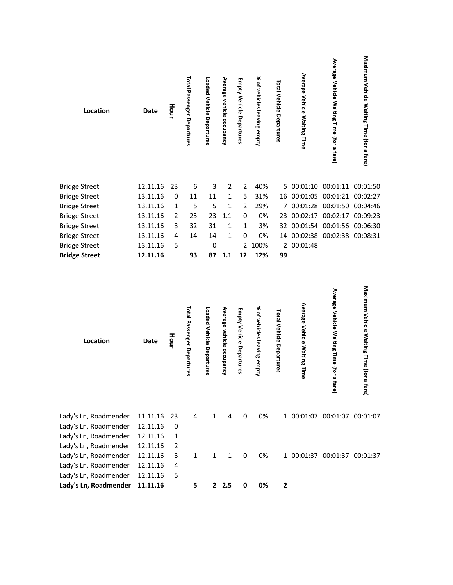| Location             | <b>Date</b> | Hour         | <b>Total Passenger Departures</b> | Loaded Vehicle Departures | Average vehicle occupancy | <b>Empty Vehicle Departures</b> | % of vehicles leaving empty | Total Vehicle Departures | Average Vehicle Waiting Time | Average Vehicle Waiting Time (for a fare) | Maximum Vehicle Waiting Time (for a fare) |
|----------------------|-------------|--------------|-----------------------------------|---------------------------|---------------------------|---------------------------------|-----------------------------|--------------------------|------------------------------|-------------------------------------------|-------------------------------------------|
| <b>Bridge Street</b> | 12.11.16    | 23           | 6                                 | 3                         | 2                         | $\overline{2}$                  | 40%                         |                          |                              | 5 00:01:10 00:01:11 00:01:50              |                                           |
| <b>Bridge Street</b> | 13.11.16    | $\pmb{0}$    | 11                                | 11                        | $\mathbf{1}$              | 5                               | 31%                         |                          |                              | 16 00:01:05 00:01:21 00:02:27             |                                           |
| <b>Bridge Street</b> | 13.11.16    | $\mathbf{1}$ | 5                                 | 5                         | $\mathbf{1}$              | $\overline{2}$                  | 29%                         | 7                        |                              | 00:01:28 00:01:50 00:04:46                |                                           |
| <b>Bridge Street</b> | 13.11.16    | 2            | 25                                | 23                        | 1.1                       | 0                               | 0%                          | 23                       | 00:02:17                     | 00:02:17 00:09:23                         |                                           |
| <b>Bridge Street</b> | 13.11.16    | 3            | 32                                | 31                        | 1                         | 1                               | 3%                          | 32                       | 00:01:54                     | 00:01:56                                  | 00:06:30                                  |
| <b>Bridge Street</b> | 13.11.16    | 4            | 14                                | 14                        | 1                         | 0                               | 0%                          |                          |                              | 14 00:02:38 00:02:38 00:08:31             |                                           |
| <b>Bridge Street</b> | 13.11.16    | 5            |                                   | 0                         |                           |                                 | 2 100%                      |                          | 2 00:01:48                   |                                           |                                           |
| <b>Bridge Street</b> | 12.11.16    |              | 93                                | 87                        | $1.1$                     | 12                              | 12%                         | 99                       |                              |                                           |                                           |
| Location             | <b>Date</b> | Hour         | Total Passenger Departures        | Loaded Vehicle Departures | Average vehicle occupancy | Empty Vehicle Departures        | % of vehicles leaving empty | Total Vehicle Departures | Average Vehicle Waiting Time | Average Vehicle Waiting Time (for a fare) | Maximum Vehicle Waiting Time (for a fare  |

| Lady's Ln, Roadmender 11.11.16 23 4 |                |    | $\overline{1}$ |     | 4 0                     | 0% | 1 00:01:07 00:01:07 00:01:07 |
|-------------------------------------|----------------|----|----------------|-----|-------------------------|----|------------------------------|
| Lady's Ln, Roadmender 12.11.16 0    |                |    |                |     |                         |    |                              |
| Lady's Ln, Roadmender 12.11.16      | $\overline{1}$ |    |                |     |                         |    |                              |
| Lady's Ln, Roadmender 12.11.16      |                |    |                |     |                         |    |                              |
| Lady's Ln, Roadmender 12.11.16 3 1  |                |    |                |     | $\overline{\mathbf{0}}$ | 0% | 1 00:01:37 00:01:37 00:01:37 |
| Lady's Ln, Roadmender 12.11.16      | $\overline{4}$ |    |                |     |                         |    |                              |
| Lady's Ln, Roadmender 12.11.16      | - 5            |    |                |     |                         |    |                              |
| Lady's Ln, Roadmender 11.11.16      |                | 5. |                | 2.5 | 0                       | 0% | 2                            |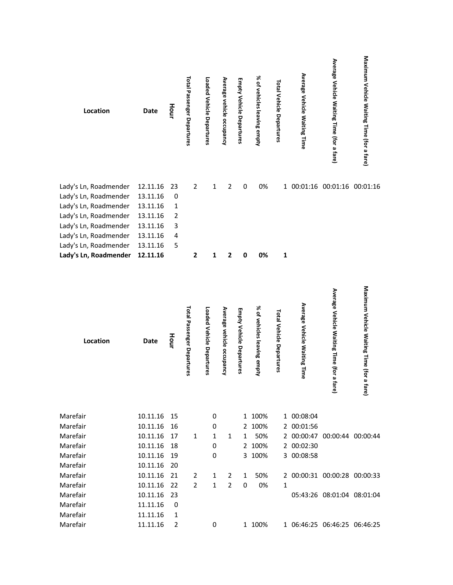| Location              | Date     | Hour           | Total Passenger Departures | Loaded Vehicle Departures | Average vehicle occupancy | <b>Empty Vehicle Departures</b> | % of vehicles leaving empty | Total Vehicle Departures | Average Vehicle Waiting Time | Average Vehicle Waiting Time (for a fare) | Maximum Vehicle Waiting Time (for a fare) |
|-----------------------|----------|----------------|----------------------------|---------------------------|---------------------------|---------------------------------|-----------------------------|--------------------------|------------------------------|-------------------------------------------|-------------------------------------------|
| Lady's Ln, Roadmender | 12.11.16 | 23             | $\overline{2}$             | 1                         | $\overline{2}$            | $\mathbf 0$                     | 0%                          |                          | 1 00:01:16                   |                                           | 00:01:16 00:01:16                         |
| Lady's Ln, Roadmender | 13.11.16 | $\mathbf 0$    |                            |                           |                           |                                 |                             |                          |                              |                                           |                                           |
| Lady's Ln, Roadmender | 13.11.16 | $\mathbf{1}$   |                            |                           |                           |                                 |                             |                          |                              |                                           |                                           |
| Lady's Ln, Roadmender | 13.11.16 | $\overline{2}$ |                            |                           |                           |                                 |                             |                          |                              |                                           |                                           |
| Lady's Ln, Roadmender | 13.11.16 | 3              |                            |                           |                           |                                 |                             |                          |                              |                                           |                                           |
| Lady's Ln, Roadmender | 13.11.16 | 4              |                            |                           |                           |                                 |                             |                          |                              |                                           |                                           |
| Lady's Ln, Roadmender | 13.11.16 | 5              |                            |                           |                           |                                 |                             |                          |                              |                                           |                                           |
| Lady's Ln, Roadmender | 12.11.16 |                | $\mathbf{2}$               | 1                         | 2                         | 0                               | 0%                          | 1                        |                              |                                           |                                           |

| Location | <b>Date</b> | Hour | Total Passenger Departures | Loaded Vehicle Departures | Average vehicle occupancy | Empty Vehicle Departures | % of vehicles leaving empty | Total Vehicle Departures | Average Vehicle Waiting Time | Average Vehicle Waiting Time (for a fare) | Maximum Vehicle Waiting Time (for a fare) |
|----------|-------------|------|----------------------------|---------------------------|---------------------------|--------------------------|-----------------------------|--------------------------|------------------------------|-------------------------------------------|-------------------------------------------|
| Marefair | 10.11.16    | 15   |                            | 0                         |                           |                          | 1 100%                      |                          | 1 00:08:04                   |                                           |                                           |
| Marefair | 10.11.16    | 16   |                            | 0                         |                           |                          | 2 100%                      |                          | 2 00:01:56                   |                                           |                                           |
| Marefair | 10.11.16    | 17   | 1                          | 1                         | 1                         | 1                        | 50%                         |                          | 2 00:00:47                   | 00:00:44 00:00:44                         |                                           |
| Marefair | 10.11.16    | 18   |                            | $\mathbf 0$               |                           | $\overline{2}$           | 100%                        |                          | 2 00:02:30                   |                                           |                                           |
| Marefair | 10.11.16    | 19   |                            | 0                         |                           | 3                        | 100%                        |                          | 3 00:08:58                   |                                           |                                           |
| Marefair | 10.11.16    | 20   |                            |                           |                           |                          |                             |                          |                              |                                           |                                           |
| Marefair | 10.11.16    | 21   | 2                          | 1                         | 2                         | 1                        | 50%                         |                          |                              | 2 00:00:31 00:00:28 00:00:33              |                                           |
| Marefair | 10.11.16    | 22   | 2                          | $\mathbf{1}$              | $\overline{2}$            | $\mathbf 0$              | 0%                          | 1                        |                              |                                           |                                           |
| Marefair | 10.11.16    | 23   |                            |                           |                           |                          |                             |                          |                              | 05:43:26 08:01:04 08:01:04                |                                           |
| Marefair | 11.11.16    | 0    |                            |                           |                           |                          |                             |                          |                              |                                           |                                           |
| Marefair | 11.11.16    | 1    |                            |                           |                           |                          |                             |                          |                              |                                           |                                           |
| Marefair | 11.11.16    | 2    |                            | $\mathbf 0$               |                           |                          | 1 100%                      |                          |                              | 1 06:46:25 06:46:25 06:46:25              |                                           |
|          |             |      |                            |                           |                           |                          |                             |                          |                              |                                           |                                           |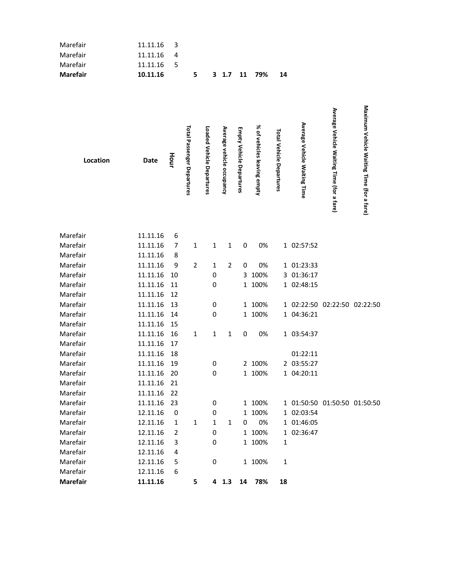| Marefair | 11.11.16    | 3    |                            |                           |                           |                                 |                             |                                 |                              |                                           |                                           |
|----------|-------------|------|----------------------------|---------------------------|---------------------------|---------------------------------|-----------------------------|---------------------------------|------------------------------|-------------------------------------------|-------------------------------------------|
| Marefair | 11.11.16    | 4    |                            |                           |                           |                                 |                             |                                 |                              |                                           |                                           |
| Marefair | 11.11.16    | 5    |                            |                           |                           |                                 |                             |                                 |                              |                                           |                                           |
| Marefair | 10.11.16    |      | 5                          |                           | $3 \t1.7$                 | 11                              | 79%                         | 14                              |                              |                                           |                                           |
| Location | <b>Date</b> | Hour | Total Passenger Departures | Loaded Vehicle Departures | Average vehicle occupancy | <b>Empty Vehicle Departures</b> | % of vehicles leaving empty | <b>Total Vehicle Departures</b> | Average Vehicle Waiting Time | Average Vehicle Waiting Time (for a fare) | Maximum Vehicle Waiting Time (for a fare) |
| Marefair | 11.11.16    | 6    |                            |                           |                           |                                 |                             |                                 |                              |                                           |                                           |
| Marefair | 11.11.16    | 7    | $\mathbf{1}$               | $\mathbf{1}$              | $\mathbf{1}$              | $\pmb{0}$                       | 0%                          |                                 | 1 02:57:52                   |                                           |                                           |
| Marefair | 11.11.16    | 8    |                            |                           |                           |                                 |                             |                                 |                              |                                           |                                           |
| Marefair | 11.11.16    | 9    | $\overline{2}$             | $\mathbf{1}$              | $\overline{2}$            | $\pmb{0}$                       | 0%                          |                                 | 1 01:23:33                   |                                           |                                           |
| Marefair | 11.11.16    | 10   |                            | 0                         |                           |                                 | 3 100%                      |                                 | 3 01:36:17                   |                                           |                                           |
| Marefair | 11.11.16    | 11   |                            | 0                         |                           |                                 | 1 100%                      |                                 | 1 02:48:15                   |                                           |                                           |
| Marefair | 11.11.16    | 12   |                            |                           |                           |                                 |                             |                                 |                              |                                           |                                           |
| Marefair | 11.11.16    | 13   |                            | 0                         |                           |                                 | 1 100%                      |                                 |                              | 1 02:22:50 02:22:50 02:22:50              |                                           |
| Marefair | 11.11.16    | 14   |                            | 0                         |                           |                                 | 1 100%                      |                                 | 1 04:36:21                   |                                           |                                           |
| Marefair | 11.11.16    | 15   |                            |                           |                           |                                 |                             |                                 |                              |                                           |                                           |
| Marefair | 11.11.16    | 16   | $\mathbf{1}$               | $\mathbf{1}$              | $\mathbf 1$               | $\pmb{0}$                       | 0%                          |                                 | 1 03:54:37                   |                                           |                                           |
| Marefair | 11.11.16    | 17   |                            |                           |                           |                                 |                             |                                 |                              |                                           |                                           |
| Marefair | 11.11.16    | 18   |                            |                           |                           |                                 |                             |                                 | 01:22:11                     |                                           |                                           |
| Marefair | 11.11.16 19 |      |                            | 0                         |                           |                                 | 2 100%                      |                                 | 2 03:55:27                   |                                           |                                           |
| Marefair | 11.11.16 20 |      |                            | 0                         |                           |                                 | 1 100%                      |                                 | 1 04:20:11                   |                                           |                                           |
| Marefair | 11.11.16    | 21   |                            |                           |                           |                                 |                             |                                 |                              |                                           |                                           |
| Marefair | 11.11.16    | 22   |                            |                           |                           |                                 |                             |                                 |                              |                                           |                                           |
| Marefair | 11.11.16    | 23   |                            | 0                         |                           |                                 | 1 100%                      |                                 |                              | 1 01:50:50 01:50:50 01:50:50              |                                           |
| Marefair | 12.11.16    | 0    |                            | 0                         |                           |                                 | 1 100%                      |                                 | 1 02:03:54                   |                                           |                                           |
| Marefair | 12.11.16    | 1    | $\mathbf{1}$               | 1                         | $\mathbf{1}$              | 0                               | 0%                          |                                 | 1 01:46:05                   |                                           |                                           |
| Marefair | 12.11.16    | 2    |                            | 0                         |                           |                                 | 1 100%                      |                                 | 1 02:36:47                   |                                           |                                           |
| Marefair | 12.11.16    | 3    |                            | 0                         |                           |                                 | 1 100%                      | 1                               |                              |                                           |                                           |
| Marefair | 12.11.16    | 4    |                            |                           |                           |                                 |                             |                                 |                              |                                           |                                           |
| Marefair | 12.11.16    | 5    |                            | 0                         |                           |                                 | 1 100%                      | $\mathbf 1$                     |                              |                                           |                                           |
| Marefair | 12.11.16    | 6    |                            |                           |                           |                                 |                             |                                 |                              |                                           |                                           |
| Marefair | 11.11.16    |      | 5                          |                           | $4$ 1.3                   | 14                              | 78%                         | 18                              |                              |                                           |                                           |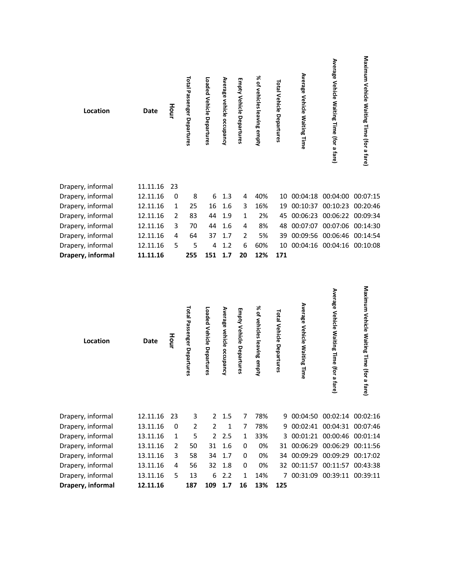| Location          | <b>Date</b>          | Hour | <b>Total Passenger Departures</b> | Loaded Vehicle Departures | Average vehicle occupancy | <b>Empty Vehicle Departures</b> | % of vehicles leaving empty | <b>Total Vehicle Departures</b> | Average Vehicle Waiting Time        | Average Vehicle Waiting Time (for a fare)     | Maximum Vehicle Waiting Time (for a fare)    |
|-------------------|----------------------|------|-----------------------------------|---------------------------|---------------------------|---------------------------------|-----------------------------|---------------------------------|-------------------------------------|-----------------------------------------------|----------------------------------------------|
| Drapery, informal | 11.11.16             | 23   |                                   |                           |                           |                                 |                             |                                 |                                     |                                               |                                              |
| Drapery, informal | 12.11.16             | 0    | 8                                 | 6                         | 1.3                       | 4                               | 40%                         | 10                              |                                     | 00:04:18 00:04:00 00:07:15                    |                                              |
| Drapery, informal | 12.11.16             | 1    | 25                                | 16                        | 1.6                       | 3                               | 16%                         | 19                              | 00:10:37                            | 00:10:23                                      | 00:20:46                                     |
| Drapery, informal | 12.11.16             | 2    | 83                                | 44                        | 1.9                       | 1                               | 2%                          | 45                              |                                     | 00:06:23 00:06:22 00:09:34                    |                                              |
| Drapery, informal | 12.11.16             | 3    | 70                                | 44                        | 1.6                       | 4                               | 8%                          | 48                              |                                     | 00:07:07 00:07:06 00:14:30                    |                                              |
| Drapery, informal | 12.11.16             | 4    | 64                                | 37                        | 1.7                       | $\overline{2}$                  | 5%                          | 39                              | 00:09:56                            | 00:06:46 00:14:54                             |                                              |
| Drapery, informal | 12.11.16             | 5    | 5                                 | 4                         | 1.2                       | 6                               | 60%                         | 10                              |                                     | 00:04:16 00:04:16 00:10:08                    |                                              |
| Drapery, informal | 11.11.16             |      | 255                               | 151                       | 1.7                       | 20                              | 12%                         | 171                             |                                     |                                               |                                              |
| Location          | Date                 | Hour | Total Passenger Departures        | Loaded Vehicle Departures | Average vehicle occupancy | Empty Vehicle Departures        | % of vehicles leaving empty | Total Vehicle Departures        | <b>Average Vehicle Waiting Time</b> | Average Vehicle Waiting Time (for a<br>4<br>ق | Maximum Vehicle Waiting Time (for a<br>fare) |
| Drapery, informal | 12.11.16             | 23   | 3                                 | 2                         | 1.5                       | 7                               | 78%                         |                                 |                                     | 9 00:04:50 00:02:14 00:02:16                  |                                              |
| Drapery, informal | 13.11.16             | 0    | $\overline{2}$                    | 2                         | $\mathbf{1}$              | 7                               | 78%                         |                                 |                                     | 9 00:02:41 00:04:31 00:07:46                  |                                              |
| Drapery, informal | 13.11.16             | 1    | 5                                 | $\overline{2}$            | 2.5                       | 1                               | 33%                         |                                 |                                     | 3 00:01:21 00:00:46 00:01:14                  |                                              |
| Drapery, informal | 13.11.16             | 2    | 50                                | 31                        | 1.6                       | 0                               | 0%                          | 31                              |                                     | 00:06:29 00:06:29 00:11:56                    |                                              |
| Drapery, informal | 13.11.16             | 3    | 58                                | 34                        | 1.7                       | 0                               | 0%                          |                                 |                                     | 34 00:09:29 00:09:29 00:17:02                 |                                              |
| Drapery, informal | 13.11.16             | 4    | 56                                | 32                        | 1.8                       | 0                               | 0%                          |                                 |                                     | 32 00:11:57 00:11:57 00:43:38                 |                                              |
| Drapery, informal |                      | 5    |                                   |                           |                           | 1                               |                             |                                 |                                     |                                               |                                              |
| Drapery, informal | 13.11.16<br>12.11.16 |      | 13<br>187                         | 6<br>109 1.7              | 2.2                       | 16                              | 14%<br>13%                  | 125                             |                                     | 7 00:31:09 00:39:11 00:39:11                  |                                              |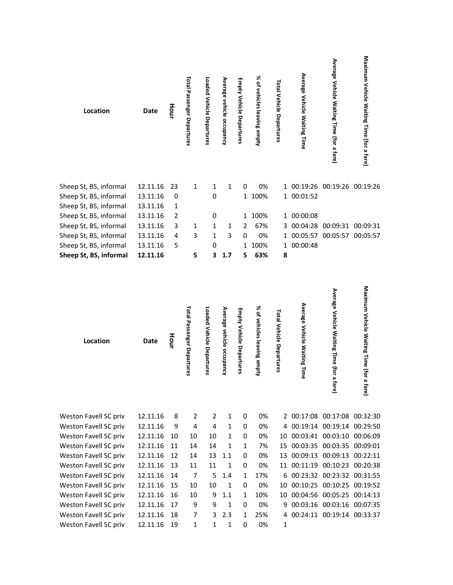| Location               | <b>Date</b> | Hour         | <b>Total Passenger Departures</b> | Loaded Vehicle Departures | Average vehicle occupancy | <b>Empty Vehicle Departures</b> | % of vehicles leaving empty | Total Vehicle Departures | Average Vehicle Waiting Time | Average Vehicle Waiting Time (for a fare) | Maximum Vehicle Waiting Time (for a fare) |
|------------------------|-------------|--------------|-----------------------------------|---------------------------|---------------------------|---------------------------------|-----------------------------|--------------------------|------------------------------|-------------------------------------------|-------------------------------------------|
| Sheep St, BS, informal | 12.11.16    | 23           | 1                                 | $\mathbf{1}$              | $\mathbf{1}$              | 0                               | 0%                          |                          | 1 00:19:26 00:19:26 00:19:26 |                                           |                                           |
| Sheep St, BS, informal | 13.11.16    | $\pmb{0}$    |                                   | $\mathbf 0$               |                           |                                 | 1 100%                      |                          | 1 00:01:52                   |                                           |                                           |
| Sheep St, BS, informal | 13.11.16    | $\mathbf{1}$ |                                   |                           |                           |                                 |                             |                          |                              |                                           |                                           |
| Sheep St, BS, informal | 13.11.16    | 2            |                                   | 0                         |                           |                                 | 1 100%                      |                          | 1 00:00:08                   |                                           |                                           |
| Sheep St, BS, informal | 13.11.16    | 3            | 1                                 | 1                         | 1                         | $\overline{2}$                  | 67%                         |                          | 3 00:04:28 00:09:31 00:09:31 |                                           |                                           |
| Sheep St, BS, informal | 13.11.16    | 4            | 3                                 | $\mathbf 1$               | 3                         | 0                               | 0%                          |                          | 1 00:05:57 00:05:57 00:05:57 |                                           |                                           |
| Sheep St, BS, informal | 13.11.16    | 5            |                                   | 0                         |                           |                                 | 1 100%                      |                          | 1 00:00:48                   |                                           |                                           |
| Sheep St, BS, informal | 12.11.16    |              | 5                                 | 3                         | 1.7                       | 5                               | 63%                         | 8                        |                              |                                           |                                           |
| Location               | <b>Date</b> | Hour         | Total Passenger Departures        | Loaded Vehicle Departures | Average vehicle occupancy | <b>Empty Vehicle Departures</b> | % of vehicles leaving empty | Total Vehicle Departures | Average Vehicle Waiting Time | Average Vehicle Waiting Time (for a fare) | Maximum Vehicle Waiting Time (for a fare  |

| Weston Favell SC priv | 12.11.16 | 8   | $\mathcal{P}$ | 2  | 1   | 0        | 0%  |              | 2 00:17:08 00:17:08 00:32:30  |  |
|-----------------------|----------|-----|---------------|----|-----|----------|-----|--------------|-------------------------------|--|
| Weston Favell SC priv | 12.11.16 | 9   | 4             | 4  | 1   | 0        | 0%  |              | 4 00:19:14 00:19:14 00:29:50  |  |
| Weston Favell SC priv | 12.11.16 | 10  | 10            | 10 | 1   | 0        | 0%  |              | 10 00:03:41 00:03:10 00:06:09 |  |
| Weston Favell SC priv | 12.11.16 | 11  | 14            | 14 | 1   | 1        | 7%  |              | 15 00:03:35 00:03:35 00:09:01 |  |
| Weston Favell SC priv | 12.11.16 | 12  | 14            | 13 | 1.1 | 0        | 0%  |              | 13 00:09:13 00:09:13 00:22:11 |  |
| Weston Favell SC priv | 12.11.16 | -13 | 11            | 11 | 1   | 0        | 0%  |              | 11 00:11:19 00:10:23 00:20:38 |  |
| Weston Favell SC priv | 12.11.16 | -14 | 7             | 5. | 1.4 | 1        | 17% |              | 6 00:23:32 00:23:32 00:31:55  |  |
| Weston Favell SC priv | 12.11.16 | -15 | 10            | 10 | 1   | 0        | 0%  |              | 10 00:10:25 00:10:25 00:19:52 |  |
| Weston Favell SC priv | 12.11.16 | 16  | 10            | 9  | 1.1 | 1        | 10% |              | 10 00:04:56 00:05:25 00:14:13 |  |
| Weston Favell SC priv | 12.11.16 | 17  | 9             | 9  | 1   | $\Omega$ | 0%  |              | 9 00:03:16 00:03:16 00:07:35  |  |
| Weston Favell SC priv | 12.11.16 | 18  | 7             | 3  | 2.3 | 1        | 25% |              | 4 00:24:11 00:19:14 00:33:37  |  |
| Weston Favell SC priv | 12 11 16 | 19  | 1             | 1  | 1   | 0        | 0%  | $\mathbf{1}$ |                               |  |
|                       |          |     |               |    |     |          |     |              |                               |  |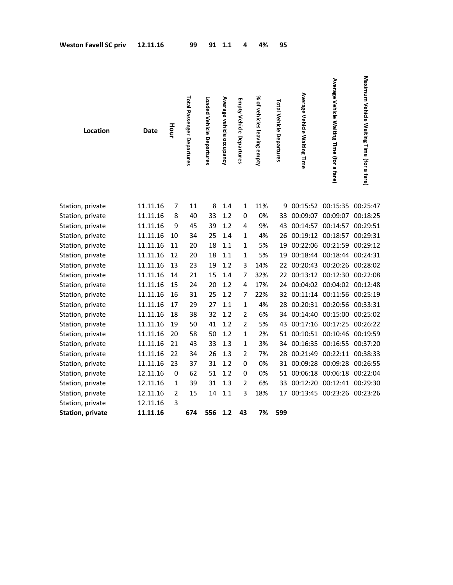| <b>Weston Favell SC priv</b> | 12.11.16 |      | 99                                | 91                        | 1.1                       | 4                        | 4%                              | 95                       |                              |                                           |                                           |
|------------------------------|----------|------|-----------------------------------|---------------------------|---------------------------|--------------------------|---------------------------------|--------------------------|------------------------------|-------------------------------------------|-------------------------------------------|
| Location                     | Date     | Hour | <b>Total Passenger Departures</b> | Loaded Vehicle Departures | Average vehicle occupancy | Empty Vehicle Departures | ৯ৎ<br>of vehicles leaving empty | Total Vehicle Departures | Average Vehicle Waiting Time | Average Vehicle Waiting Time (for a fare) | Maximum Vehicle Waiting Time (for a fare) |
| Station, private             | 11.11.16 | 7    | 11                                | 8                         | 1.4                       | 1                        | 11%                             |                          |                              | 9 00:15:52 00:15:35 00:25:47              |                                           |
| Station, private             | 11.11.16 | 8    | 40                                | 33                        | 1.2                       | 0                        | 0%                              |                          |                              | 33 00:09:07 00:09:07 00:18:25             |                                           |
| Station, private             | 11.11.16 | 9    | 45                                | 39                        | 1.2                       | 4                        | 9%                              | 43                       |                              | 00:14:57 00:14:57 00:29:51                |                                           |
| Station, private             | 11.11.16 | 10   | 34                                | 25                        | 1.4                       | $\mathbf{1}$             | 4%                              | 26                       |                              | 00:19:12 00:18:57 00:29:31                |                                           |
| Station, private             | 11.11.16 | 11   | 20                                | 18                        | 1.1                       | $\mathbf{1}$             | 5%                              | 19                       |                              | 00:22:06 00:21:59 00:29:12                |                                           |
| Station, private             | 11.11.16 | 12   | 20                                | 18                        | 1.1                       | $\mathbf{1}$             | 5%                              | 19                       |                              | 00:18:44 00:18:44 00:24:31                |                                           |
| Station, private             | 11.11.16 | 13   | 23                                | 19                        | 1.2                       | 3                        | 14%                             | 22                       |                              | 00:20:43 00:20:26 00:28:02                |                                           |
| Station, private             | 11.11.16 | 14   | 21                                | 15                        | 1.4                       | 7                        | 32%                             | $22 \overline{ }$        |                              | 00:13:12 00:12:30 00:22:08                |                                           |
| Station, private             | 11.11.16 | 15   | 24                                | 20                        | 1.2                       | 4                        | 17%                             | 24                       |                              | 00:04:02 00:04:02 00:12:48                |                                           |
| Station, private             | 11.11.16 | 16   | 31                                | 25                        | 1.2                       | 7                        | 22%                             | 32                       |                              | 00:11:14 00:11:56 00:25:19                |                                           |
| Station, private             | 11.11.16 | 17   | 29                                | 27                        | 1.1                       | $\mathbf{1}$             | 4%                              | 28                       |                              | 00:20:31 00:20:56 00:33:31                |                                           |
| Station, private             | 11.11.16 | 18   | 38                                | 32                        | 1.2                       | $\overline{2}$           | 6%                              | 34                       |                              | 00:14:40 00:15:00 00:25:02                |                                           |
| Station, private             | 11.11.16 | 19   | 50                                | 41                        | 1.2                       | $\overline{2}$           | 5%                              | 43                       |                              | 00:17:16 00:17:25 00:26:22                |                                           |
| Station, private             | 11.11.16 | 20   | 58                                | 50                        | 1.2                       | 1                        | 2%                              | 51                       |                              | 00:10:51 00:10:46 00:19:59                |                                           |
| Station, private             | 11.11.16 | 21   | 43                                | 33                        | 1.3                       | $\mathbf{1}$             | 3%                              | 34                       |                              | 00:16:35 00:16:55 00:37:20                |                                           |
| Station, private             | 11.11.16 | 22   | 34                                | 26                        | 1.3                       | $\overline{2}$           | 7%                              | 28                       | 00:21:49                     | 00:22:11 00:38:33                         |                                           |
| Station, private             | 11.11.16 | 23   | 37                                | 31                        | 1.2                       | 0                        | 0%                              | 31                       | 00:09:28                     | 00:09:28 00:26:55                         |                                           |
| Station, private             | 12.11.16 | 0    | 62                                | 51                        | 1.2                       | 0                        | 0%                              | 51                       | 00:06:18                     | 00:06:18 00:22:04                         |                                           |
| Station, private             | 12.11.16 | 1    | 39                                | 31                        | 1.3                       | 2                        | 6%                              | 33                       | 00:12:20                     | 00:12:41 00:29:30                         |                                           |
| Station, private             | 12.11.16 | 2    | 15                                | 14                        | 1.1                       | 3                        | 18%                             |                          |                              | 17 00:13:45 00:23:26 00:23:26             |                                           |
| Station, private             | 12.11.16 | 3    |                                   |                           |                           |                          |                                 |                          |                              |                                           |                                           |
| <b>Station, private</b>      | 11.11.16 |      | 674                               | 556                       | 1.2                       | 43                       | 7%                              | 599                      |                              |                                           |                                           |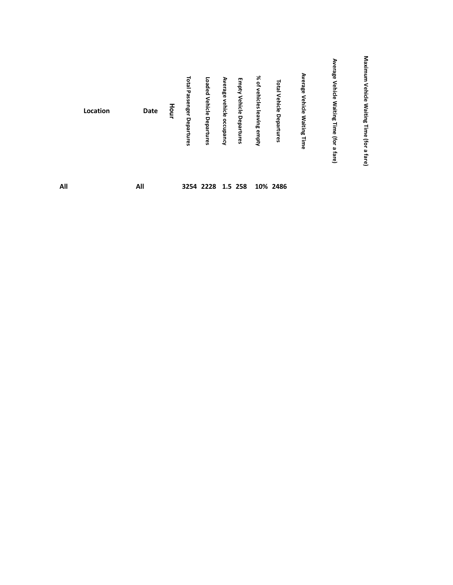|     | Location | Date | iour | <b>Total Passenger</b><br>Departures | Loaded Vehicle<br>Departures | Average vehicle<br>occupancy | Empty Vehicle Departures | % of<br>vehicles  <br>leaving empty | Total<br>Vehicle<br>Departures | Average<br><b>Vehicle</b><br>Waiting<br>Time | ⋗<br>န္တီ<br>Vehicle<br><b>Waiting</b><br>Time<br>for<br>a fare) | Maxin<br>Vehicle<br>Waiting<br>₹<br>ᅙ<br>(for<br>മ<br>fare) |  |
|-----|----------|------|------|--------------------------------------|------------------------------|------------------------------|--------------------------|-------------------------------------|--------------------------------|----------------------------------------------|------------------------------------------------------------------|-------------------------------------------------------------|--|
| All |          | All  |      |                                      | 3254 2228 1.5 258            |                              |                          |                                     | 10% 2486                       |                                              |                                                                  |                                                             |  |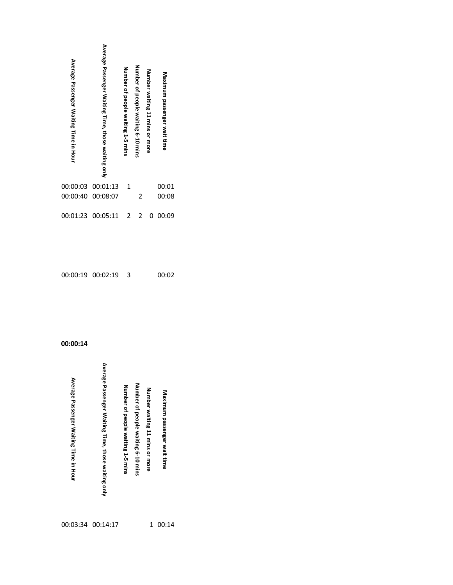| Average Passenger Waiting Time in Hour | Average Passenger Waiting Time, those waiting only | Number of people waiting 1-5 mins | Number of people waiting 6-10 mins | Number waiting 11 mins or more | Maximum passenger wait time |
|----------------------------------------|----------------------------------------------------|-----------------------------------|------------------------------------|--------------------------------|-----------------------------|
|                                        |                                                    |                                   |                                    |                                |                             |
| 00:00:03                               | 00:01:13                                           | 1                                 |                                    |                                | 00:01                       |
| 00:00:40                               | 00:08:07                                           |                                   | $\overline{2}$                     |                                | 00:08                       |

| 00:00:19 00:02:19 |  | 00:02 |
|-------------------|--|-------|
|                   |  |       |

| Average Passenger Waiting Time, those waiting only<br>Average Passenger Waiting Time in Hour<br>Number of people waiting 6-10 mins<br>Number of people waiting 1-5 mins<br>Number waiting 11 mins or more<br>Maximum passenger wait time |  |
|------------------------------------------------------------------------------------------------------------------------------------------------------------------------------------------------------------------------------------------|--|
|------------------------------------------------------------------------------------------------------------------------------------------------------------------------------------------------------------------------------------------|--|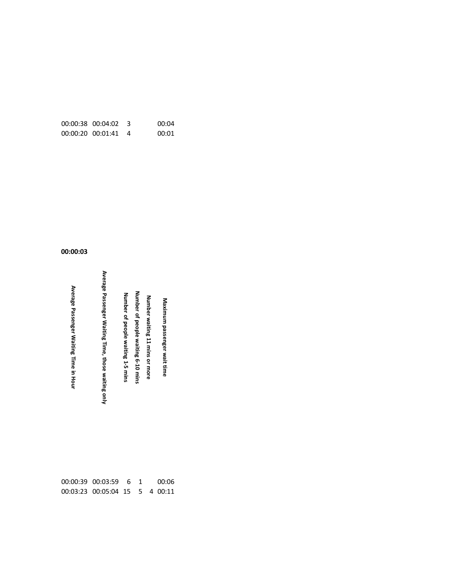| $00:00:38$ $00:04:02$ 3 | 00:04 |
|-------------------------|-------|
| 00:00:20 00:01:41       | 00:01 |

00:03:23 00:05:04 15 5 4 00:11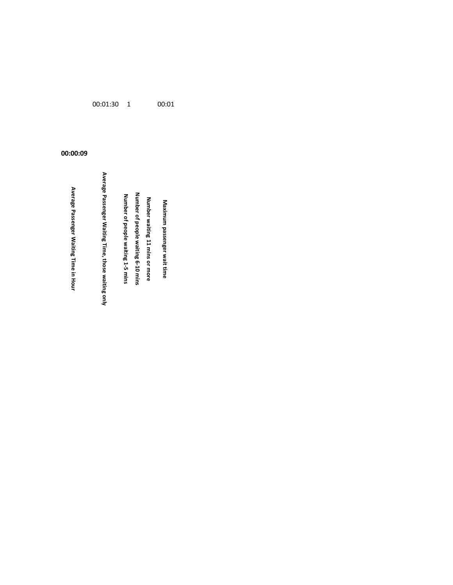Avaximum passenger wait time<br>in Hurmber waiting 11 mins or more<br>Number of people waiting 6-10 mins<br>Number of people waiting 1-5 mins<br>Nuerage Passenger Waiting Time, those waiting only<br>Average Passenger Waiting Time, those

00:01:30 1 00:01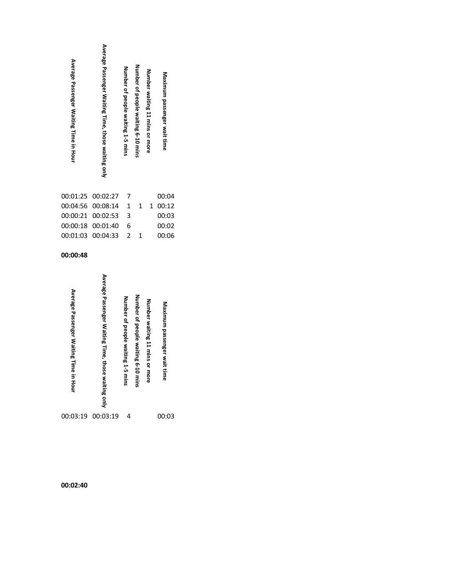00:02:40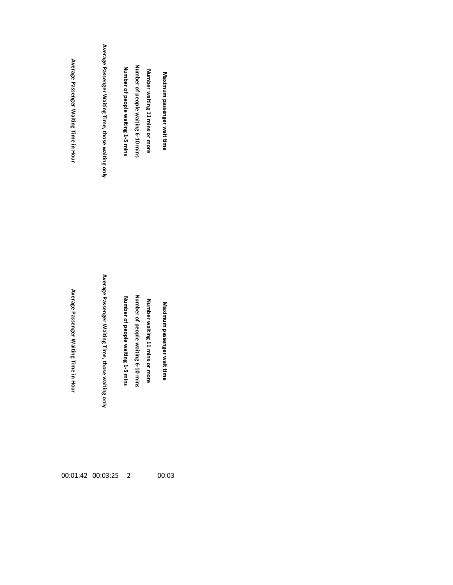| Average Passenger Waiting Time in Hour |
|----------------------------------------|
| Average Passenger Waiting Time in Hour |

00:01:42 00:03:25 2 00:03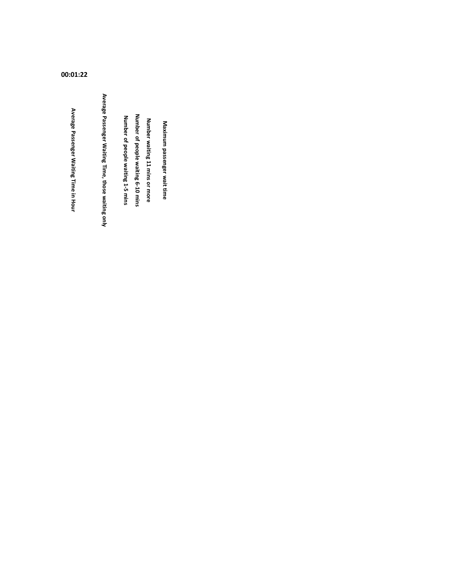00:01:22

Avaximum passenger wait time<br>in Hurmber Waiting 11 mins or more<br>Number of people waiting 1-5 mins<br>Number of people waiting 1-5 mins<br>Number of people waiting 11 mins Number<br>Average Passenger Waiting Time, those waiting only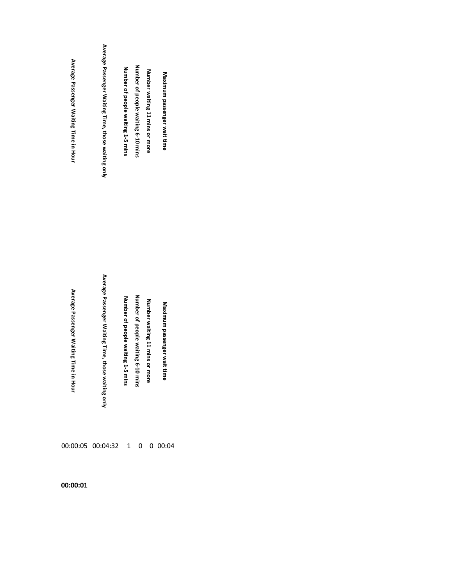| Average Passenger Waiting Time in Hour           | Average Passenger Waiting Time, those waiting only    | Number of people waiting 1-5 mins | Number of people waiting 6-10 mins | Number waiting 11 mins or more | Maximum passenger wait time     |
|--------------------------------------------------|-------------------------------------------------------|-----------------------------------|------------------------------------|--------------------------------|---------------------------------|
| Average Passenger Waiting Time ir<br><b>Hour</b> | Average Passenger Waiting Time, those<br>waiting only | Number of people waiting 1-5 mins | Number of people waiting 6-10 mins | Number waiting 11 mins or more | Maximum passenger wait tim<br>Ō |
|                                                  | 00:00:05 00:04:32 1                                   |                                   | 0                                  |                                | 0 00:04                         |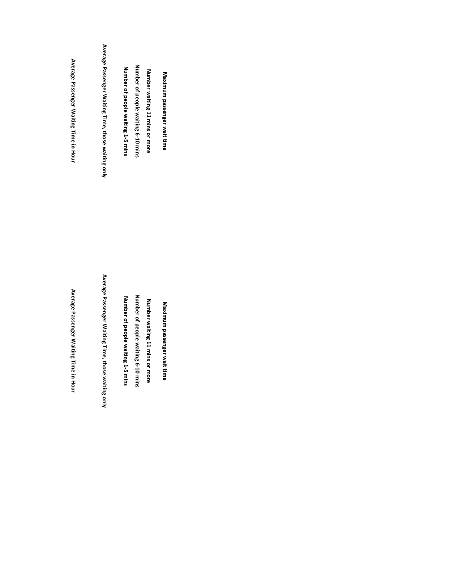| Average Passenger Maiting Time in Horr    | Average Passenger Waiting Time, those waiting only | Number of people waiting 1-5 mins    | Number of people waiting 6-10 mins | Number waiting 11 mins or more | Maximum passenger wait time |
|-------------------------------------------|----------------------------------------------------|--------------------------------------|------------------------------------|--------------------------------|-----------------------------|
| Average Passenger Waiting Time<br>in Hour | Average Passenger Waiting Time, those waiting only | Number of people waiting 1-5<br>mins | Number of people waiting 6-10 mins | Number waiting 11 mins or more | Maximum passenger wait time |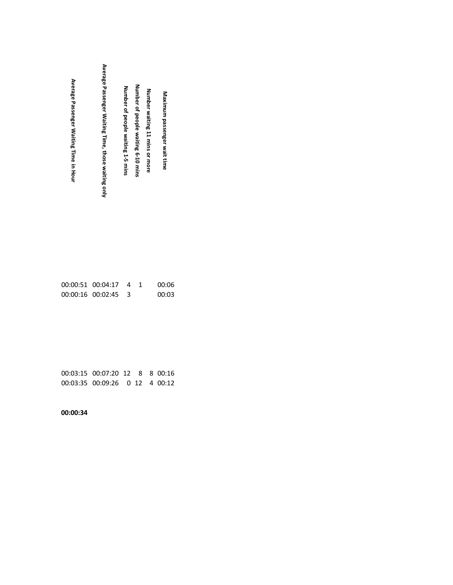| Average Passenger Waiting Time, those waiting only<br>Average Passenger Waiting Time in Hour | Number of people waiting 6-10 mins<br>Number of people waiting 1-5 mins<br>Number waiting 11 mins or more | Maximum passenger wait time |  |
|----------------------------------------------------------------------------------------------|-----------------------------------------------------------------------------------------------------------|-----------------------------|--|
|----------------------------------------------------------------------------------------------|-----------------------------------------------------------------------------------------------------------|-----------------------------|--|

| 00:00:51 00:04:17 4     |  | 00:06 |
|-------------------------|--|-------|
| $00:00:16$ $00:02:45$ 3 |  | 00:03 |

00:03:15 00:07:20 12 8 8 00:16 00:03:35 00:09:26 0 12 4 00:12